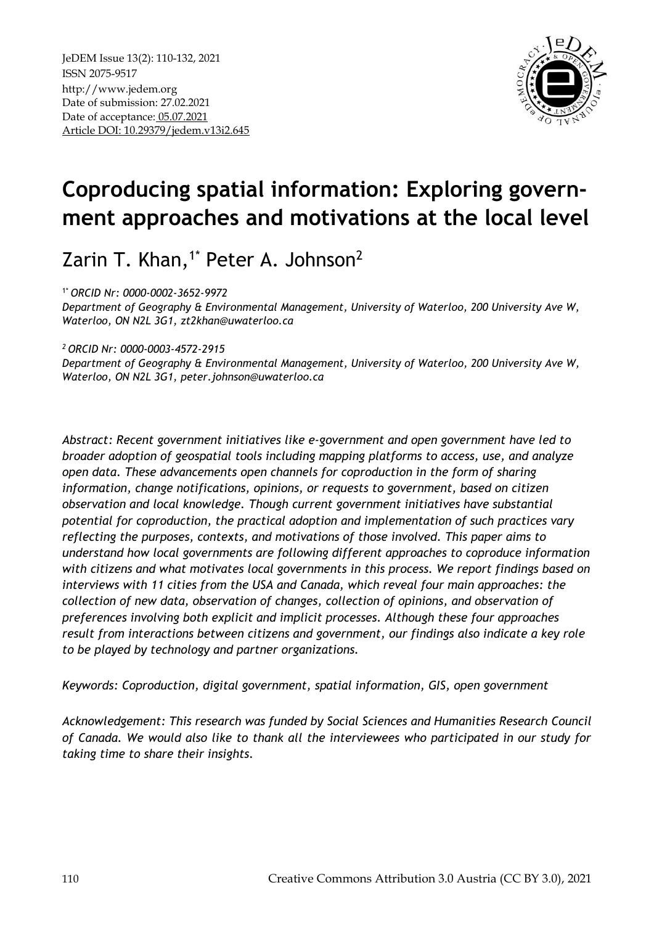

# **Coproducing spatial information: Exploring government approaches and motivations at the local level**

Zarin T. Khan, $1^*$  Peter A. Johnson<sup>2</sup>

1\* *ORCID Nr: 0000-0002-3652-9972*

*Department of Geography & Environmental Management, University of Waterloo, 200 University Ave W, Waterloo, ON N2L 3G1, [zt2khan@uwaterloo.ca](mailto:zt2khan@uwaterloo.ca)*

*<sup>2</sup>ORCID Nr: 0000-0003-4572-2915*

*Department of Geography & Environmental Management, University of Waterloo, 200 University Ave W, Waterloo, ON N2L 3G1, peter.johnson@uwaterloo.ca*

*Abstract: Recent government initiatives like e-government and open government have led to broader adoption of geospatial tools including mapping platforms to access, use, and analyze open data. These advancements open channels for coproduction in the form of sharing information, change notifications, opinions, or requests to government, based on citizen observation and local knowledge. Though current government initiatives have substantial potential for coproduction, the practical adoption and implementation of such practices vary reflecting the purposes, contexts, and motivations of those involved. This paper aims to understand how local governments are following different approaches to coproduce information with citizens and what motivates local governments in this process. We report findings based on interviews with 11 cities from the USA and Canada, which reveal four main approaches: the collection of new data, observation of changes, collection of opinions, and observation of preferences involving both explicit and implicit processes. Although these four approaches result from interactions between citizens and government, our findings also indicate a key role to be played by technology and partner organizations.*

*Keywords: Coproduction, digital government, spatial information, GIS, open government* 

*Acknowledgement: This research was funded by Social Sciences and Humanities Research Council of Canada. We would also like to thank all the interviewees who participated in our study for taking time to share their insights.*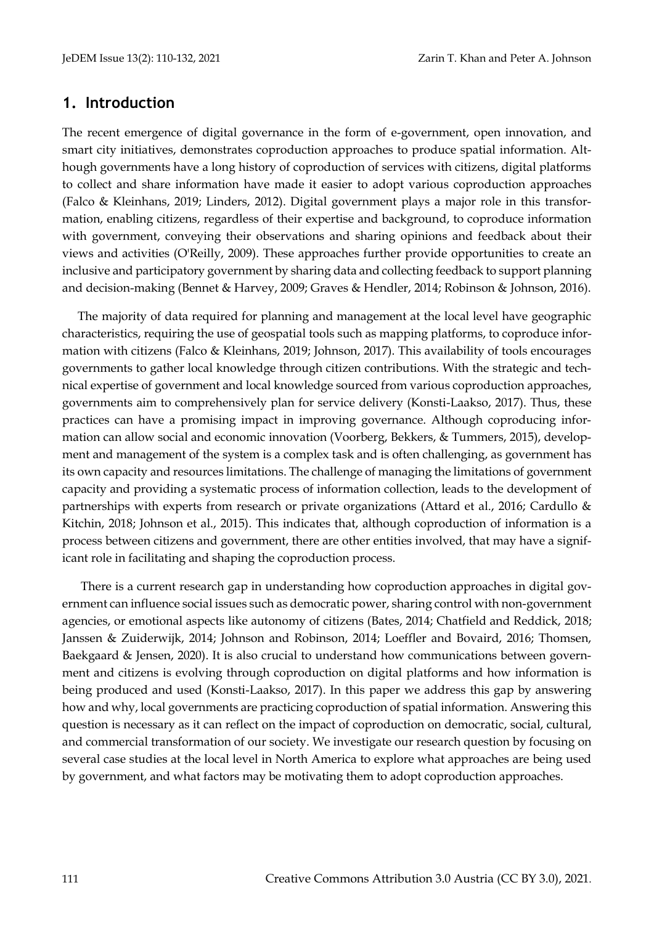#### **1. Introduction**

The recent emergence of digital governance in the form of e-government, open innovation, and smart city initiatives, demonstrates coproduction approaches to produce spatial information. Although governments have a long history of coproduction of services with citizens, digital platforms to collect and share information have made it easier to adopt various coproduction approaches (Falco & Kleinhans, 2019; Linders, 2012). Digital government plays a major role in this transformation, enabling citizens, regardless of their expertise and background, to coproduce information with government, conveying their observations and sharing opinions and feedback about their views and activities (O'Reilly, 2009). These approaches further provide opportunities to create an inclusive and participatory government by sharing data and collecting feedback to support planning and decision-making (Bennet & Harvey, 2009; Graves & Hendler, 2014; Robinson & Johnson, 2016).

The majority of data required for planning and management at the local level have geographic characteristics, requiring the use of geospatial tools such as mapping platforms, to coproduce information with citizens (Falco & Kleinhans, 2019; Johnson, 2017). This availability of tools encourages governments to gather local knowledge through citizen contributions. With the strategic and technical expertise of government and local knowledge sourced from various coproduction approaches, governments aim to comprehensively plan for service delivery (Konsti-Laakso, 2017). Thus, these practices can have a promising impact in improving governance. Although coproducing information can allow social and economic innovation (Voorberg, Bekkers, & Tummers, 2015), development and management of the system is a complex task and is often challenging, as government has its own capacity and resources limitations. The challenge of managing the limitations of government capacity and providing a systematic process of information collection, leads to the development of partnerships with experts from research or private organizations (Attard et al., 2016; Cardullo & Kitchin, 2018; Johnson et al., 2015). This indicates that, although coproduction of information is a process between citizens and government, there are other entities involved, that may have a significant role in facilitating and shaping the coproduction process.

There is a current research gap in understanding how coproduction approaches in digital government can influence social issues such as democratic power, sharing control with non-government agencies, or emotional aspects like autonomy of citizens (Bates, 2014; Chatfield and Reddick, 2018; Janssen & Zuiderwijk, 2014; Johnson and Robinson, 2014; Loeffler and Bovaird, 2016; Thomsen, Baekgaard & Jensen, 2020). It is also crucial to understand how communications between government and citizens is evolving through coproduction on digital platforms and how information is being produced and used (Konsti-Laakso, 2017). In this paper we address this gap by answering how and why, local governments are practicing coproduction of spatial information. Answering this question is necessary as it can reflect on the impact of coproduction on democratic, social, cultural, and commercial transformation of our society. We investigate our research question by focusing on several case studies at the local level in North America to explore what approaches are being used by government, and what factors may be motivating them to adopt coproduction approaches.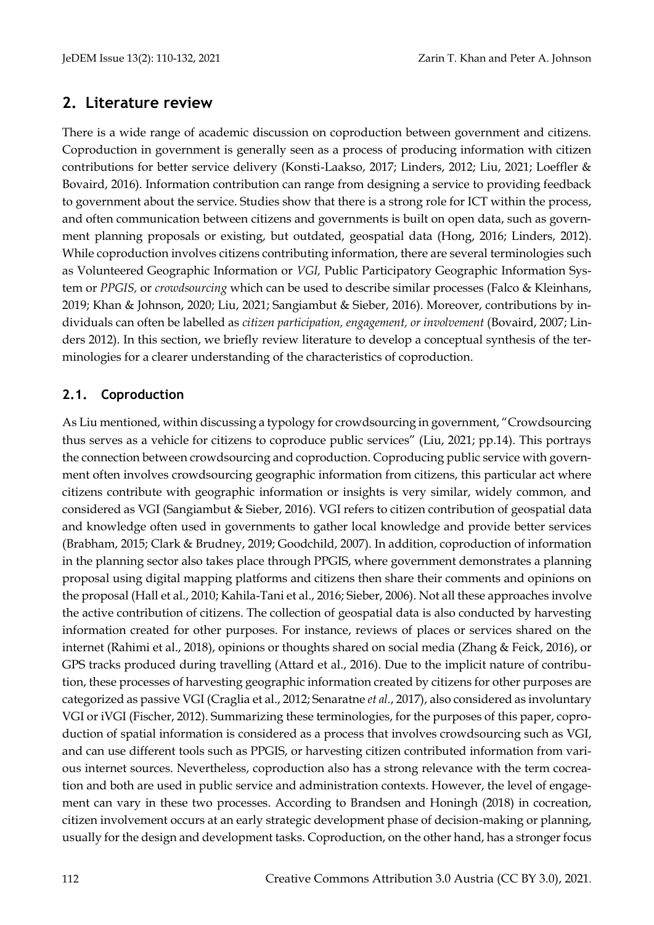# **2. Literature review**

There is a wide range of academic discussion on coproduction between government and citizens. Coproduction in government is generally seen as a process of producing information with citizen contributions for better service delivery (Konsti-Laakso, 2017; Linders, 2012; Liu, 2021; Loeffler & Bovaird, 2016). Information contribution can range from designing a service to providing feedback to government about the service. Studies show that there is a strong role for ICT within the process, and often communication between citizens and governments is built on open data, such as government planning proposals or existing, but outdated, geospatial data (Hong, 2016; Linders, 2012). While coproduction involves citizens contributing information, there are several terminologies such as Volunteered Geographic Information or *VGI,* Public Participatory Geographic Information System or *PPGIS,* or *crowdsourcing* which can be used to describe similar processes (Falco & Kleinhans, 2019; Khan & Johnson, 2020; Liu, 2021; Sangiambut & Sieber, 2016). Moreover, contributions by individuals can often be labelled as *citizen participation, engagement, or involvement* (Bovaird, 2007; Linders 2012). In this section, we briefly review literature to develop a conceptual synthesis of the terminologies for a clearer understanding of the characteristics of coproduction.

#### **2.1. Coproduction**

As Liu mentioned, within discussing a typology for crowdsourcing in government, "Crowdsourcing thus serves as a vehicle for citizens to coproduce public services" (Liu, 2021; pp.14). This portrays the connection between crowdsourcing and coproduction. Coproducing public service with government often involves crowdsourcing geographic information from citizens, this particular act where citizens contribute with geographic information or insights is very similar, widely common, and considered as VGI (Sangiambut & Sieber, 2016). VGI refers to citizen contribution of geospatial data and knowledge often used in governments to gather local knowledge and provide better services (Brabham, 2015; Clark & Brudney, 2019; Goodchild, 2007). In addition, coproduction of information in the planning sector also takes place through PPGIS, where government demonstrates a planning proposal using digital mapping platforms and citizens then share their comments and opinions on the proposal (Hall et al., 2010; Kahila-Tani et al., 2016; Sieber, 2006). Not all these approaches involve the active contribution of citizens. The collection of geospatial data is also conducted by harvesting information created for other purposes. For instance, reviews of places or services shared on the internet (Rahimi et al., 2018), opinions or thoughts shared on social media (Zhang & Feick, 2016), or GPS tracks produced during travelling (Attard et al., 2016). Due to the implicit nature of contribution, these processes of harvesting geographic information created by citizens for other purposes are categorized as passive VGI (Craglia et al., 2012; Senaratne *et al.*, 2017), also considered as involuntary VGI or iVGI (Fischer, 2012). Summarizing these terminologies, for the purposes of this paper, coproduction of spatial information is considered as a process that involves crowdsourcing such as VGI, and can use different tools such as PPGIS, or harvesting citizen contributed information from various internet sources. Nevertheless, coproduction also has a strong relevance with the term cocreation and both are used in public service and administration contexts. However, the level of engagement can vary in these two processes. According to Brandsen and Honingh (2018) in cocreation, citizen involvement occurs at an early strategic development phase of decision-making or planning, usually for the design and development tasks. Coproduction, on the other hand, has a stronger focus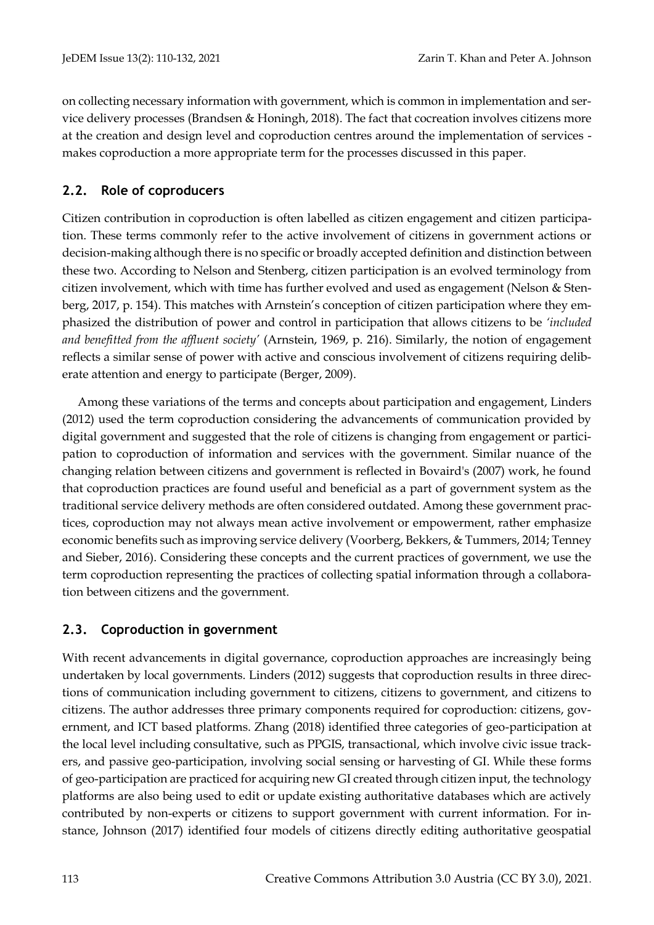on collecting necessary information with government, which is common in implementation and service delivery processes (Brandsen & Honingh, 2018). The fact that cocreation involves citizens more at the creation and design level and coproduction centres around the implementation of services makes coproduction a more appropriate term for the processes discussed in this paper.

### **2.2. Role of coproducers**

Citizen contribution in coproduction is often labelled as citizen engagement and citizen participation. These terms commonly refer to the active involvement of citizens in government actions or decision-making although there is no specific or broadly accepted definition and distinction between these two. According to Nelson and Stenberg, citizen participation is an evolved terminology from citizen involvement, which with time has further evolved and used as engagement (Nelson & Stenberg, 2017, p. 154). This matches with Arnstein's conception of citizen participation where they emphasized the distribution of power and control in participation that allows citizens to be *'included and benefitted from the affluent society'* (Arnstein, 1969, p. 216). Similarly, the notion of engagement reflects a similar sense of power with active and conscious involvement of citizens requiring deliberate attention and energy to participate (Berger, 2009).

Among these variations of the terms and concepts about participation and engagement, Linders (2012) used the term coproduction considering the advancements of communication provided by digital government and suggested that the role of citizens is changing from engagement or participation to coproduction of information and services with the government. Similar nuance of the changing relation between citizens and government is reflected in Bovaird's (2007) work, he found that coproduction practices are found useful and beneficial as a part of government system as the traditional service delivery methods are often considered outdated. Among these government practices, coproduction may not always mean active involvement or empowerment, rather emphasize economic benefits such as improving service delivery (Voorberg, Bekkers, & Tummers, 2014; Tenney and Sieber, 2016). Considering these concepts and the current practices of government, we use the term coproduction representing the practices of collecting spatial information through a collaboration between citizens and the government.

#### **2.3. Coproduction in government**

With recent advancements in digital governance, coproduction approaches are increasingly being undertaken by local governments. Linders (2012) suggests that coproduction results in three directions of communication including government to citizens, citizens to government, and citizens to citizens. The author addresses three primary components required for coproduction: citizens, government, and ICT based platforms. Zhang (2018) identified three categories of geo-participation at the local level including consultative, such as PPGIS, transactional, which involve civic issue trackers, and passive geo-participation, involving social sensing or harvesting of GI. While these forms of geo-participation are practiced for acquiring new GI created through citizen input, the technology platforms are also being used to edit or update existing authoritative databases which are actively contributed by non-experts or citizens to support government with current information. For instance, Johnson (2017) identified four models of citizens directly editing authoritative geospatial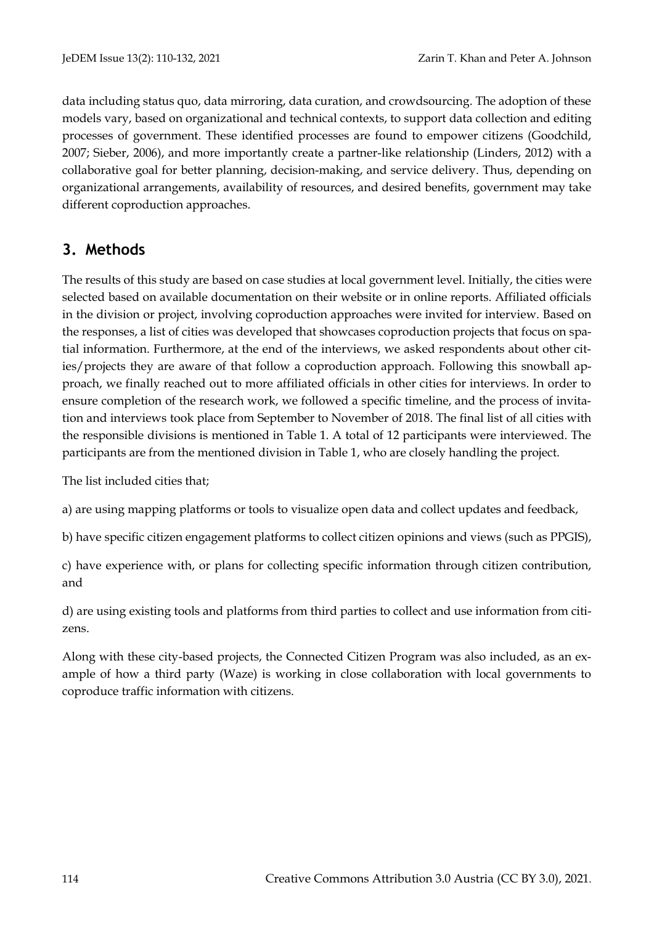data including status quo, data mirroring, data curation, and crowdsourcing. The adoption of these models vary, based on organizational and technical contexts, to support data collection and editing processes of government. These identified processes are found to empower citizens (Goodchild, 2007; Sieber, 2006), and more importantly create a partner-like relationship (Linders, 2012) with a collaborative goal for better planning, decision-making, and service delivery. Thus, depending on organizational arrangements, availability of resources, and desired benefits, government may take different coproduction approaches.

# **3. Methods**

The results of this study are based on case studies at local government level. Initially, the cities were selected based on available documentation on their website or in online reports. Affiliated officials in the division or project, involving coproduction approaches were invited for interview. Based on the responses, a list of cities was developed that showcases coproduction projects that focus on spatial information. Furthermore, at the end of the interviews, we asked respondents about other cities/projects they are aware of that follow a coproduction approach. Following this snowball approach, we finally reached out to more affiliated officials in other cities for interviews. In order to ensure completion of the research work, we followed a specific timeline, and the process of invitation and interviews took place from September to November of 2018. The final list of all cities with the responsible divisions is mentioned in Table 1. A total of 12 participants were interviewed. The participants are from the mentioned division in Table 1, who are closely handling the project.

The list included cities that;

a) are using mapping platforms or tools to visualize open data and collect updates and feedback,

b) have specific citizen engagement platforms to collect citizen opinions and views (such as PPGIS),

c) have experience with, or plans for collecting specific information through citizen contribution, and

d) are using existing tools and platforms from third parties to collect and use information from citizens.

Along with these city-based projects, the Connected Citizen Program was also included, as an example of how a third party (Waze) is working in close collaboration with local governments to coproduce traffic information with citizens.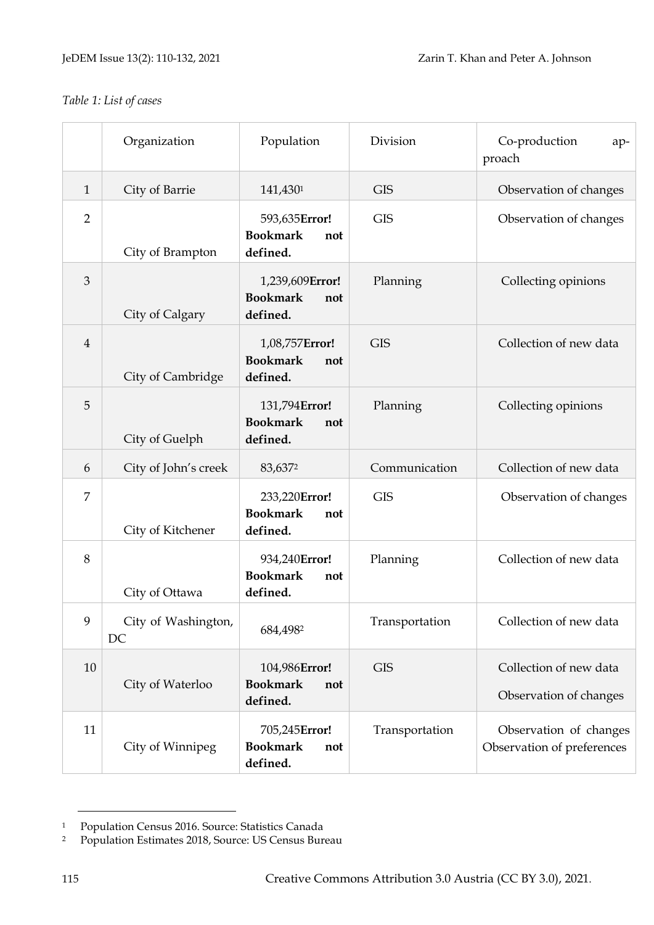## *Table 1: List of cases*

|                | Organization              | Population                                            | Division       | Co-production<br>ap-<br>proach                       |
|----------------|---------------------------|-------------------------------------------------------|----------------|------------------------------------------------------|
| $\mathbf{1}$   | City of Barrie            | 141,4301                                              | <b>GIS</b>     | Observation of changes                               |
| $\overline{2}$ | City of Brampton          | 593,635Error!<br><b>Bookmark</b><br>not<br>defined.   | <b>GIS</b>     | Observation of changes                               |
| 3              | City of Calgary           | 1,239,609Error!<br><b>Bookmark</b><br>not<br>defined. | Planning       | Collecting opinions                                  |
| $\overline{4}$ | City of Cambridge         | 1,08,757Error!<br><b>Bookmark</b><br>not<br>defined.  | <b>GIS</b>     | Collection of new data                               |
| 5              | City of Guelph            | 131,794Error!<br><b>Bookmark</b><br>not<br>defined.   | Planning       | Collecting opinions                                  |
| 6              | City of John's creek      | 83,6372                                               | Communication  | Collection of new data                               |
| $\overline{7}$ | City of Kitchener         | 233,220Error!<br><b>Bookmark</b><br>not<br>defined.   | <b>GIS</b>     | Observation of changes                               |
| 8              | City of Ottawa            | 934,240Error!<br><b>Bookmark</b><br>not<br>defined.   | Planning       | Collection of new data                               |
| 9              | City of Washington,<br>DC | 684,4982                                              | Transportation | Collection of new data                               |
| 10             | City of Waterloo          | 104,986Error!<br><b>Bookmark</b><br>not<br>defined.   | <b>GIS</b>     | Collection of new data<br>Observation of changes     |
| 11             | City of Winnipeg          | 705,245Error!<br><b>Bookmark</b><br>not<br>defined.   | Transportation | Observation of changes<br>Observation of preferences |

<span id="page-5-0"></span><sup>&</sup>lt;sup>1</sup> Population Census 2016. Source: Statistics Canada<br><sup>2</sup> Population Estimates 2018. Source: US Census Bur

Population Estimates 2018, Source: US Census Bureau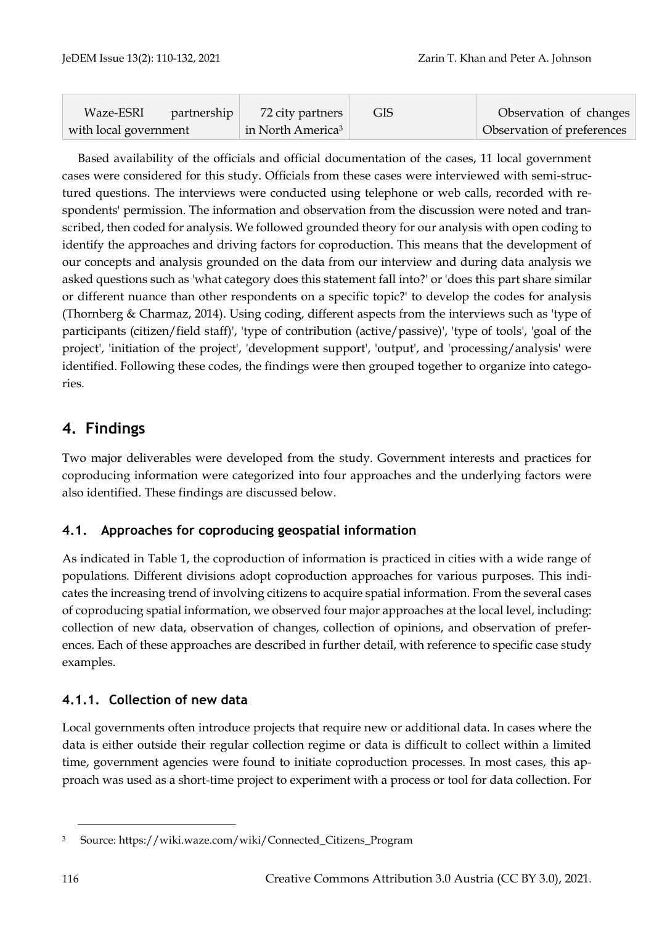| Waze-ESRI<br>partnership | 72 city partners              | <b>GIS</b> | Observation of changes     |
|--------------------------|-------------------------------|------------|----------------------------|
| with local government    | in North America <sup>3</sup> |            | Observation of preferences |

Based availability of the officials and official documentation of the cases, 11 local government cases were considered for this study. Officials from these cases were interviewed with semi-structured questions. The interviews were conducted using telephone or web calls, recorded with respondents' permission. The information and observation from the discussion were noted and transcribed, then coded for analysis. We followed grounded theory for our analysis with open coding to identify the approaches and driving factors for coproduction. This means that the development of our concepts and analysis grounded on the data from our interview and during data analysis we asked questions such as 'what category does this statement fall into?' or 'does this part share similar or different nuance than other respondents on a specific topic?' to develop the codes for analysis (Thornberg & Charmaz, 2014). Using coding, different aspects from the interviews such as 'type of participants (citizen/field staff)', 'type of contribution (active/passive)', 'type of tools', 'goal of the project', 'initiation of the project', 'development support', 'output', and 'processing/analysis' were identified. Following these codes, the findings were then grouped together to organize into categories.

# **4. Findings**

Two major deliverables were developed from the study. Government interests and practices for coproducing information were categorized into four approaches and the underlying factors were also identified. These findings are discussed below.

# **4.1. Approaches for coproducing geospatial information**

As indicated in Table 1, the coproduction of information is practiced in cities with a wide range of populations. Different divisions adopt coproduction approaches for various purposes. This indicates the increasing trend of involving citizens to acquire spatial information. From the several cases of coproducing spatial information, we observed four major approaches at the local level, including: collection of new data, observation of changes, collection of opinions, and observation of preferences. Each of these approaches are described in further detail, with reference to specific case study examples.

#### **4.1.1. Collection of new data**

Local governments often introduce projects that require new or additional data. In cases where the data is either outside their regular collection regime or data is difficult to collect within a limited time, government agencies were found to initiate coproduction processes. In most cases, this approach was used as a short-time project to experiment with a process or tool for data collection. For

<sup>3</sup> Source: [https://wiki.waze.com/wiki/Connected\\_Citizens\\_Program](https://wiki.waze.com/wiki/Connected_Citizens_Program)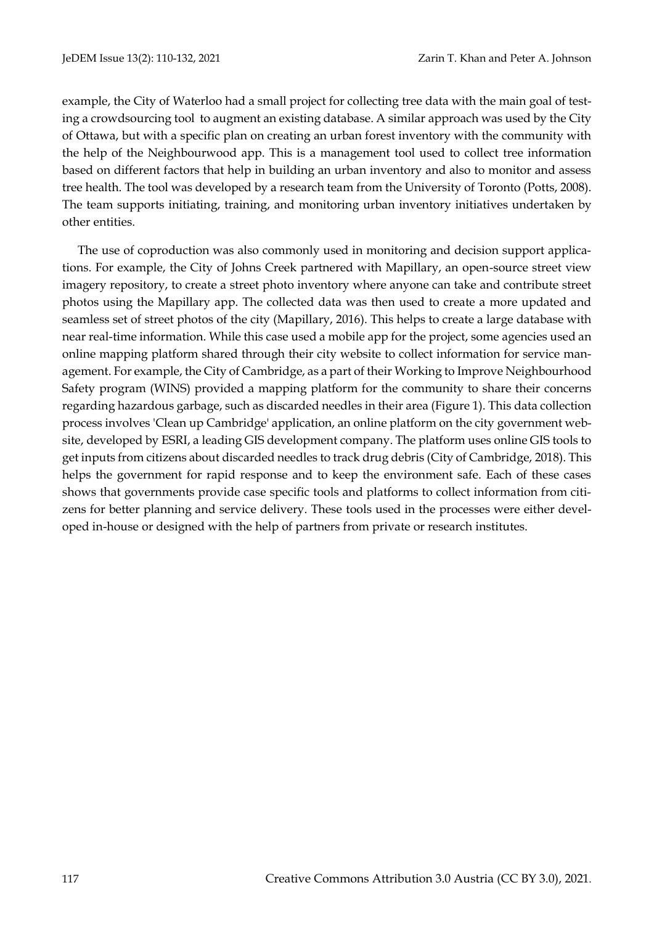example, the City of Waterloo had a small project for collecting tree data with the main goal of testing a crowdsourcing tool to augment an existing database. A similar approach was used by the City of Ottawa, but with a specific plan on creating an urban forest inventory with the community with the help of the Neighbourwood app. This is a management tool used to collect tree information based on different factors that help in building an urban inventory and also to monitor and assess tree health. The tool was developed by a research team from the University of Toronto (Potts, 2008). The team supports initiating, training, and monitoring urban inventory initiatives undertaken by other entities.

The use of coproduction was also commonly used in monitoring and decision support applications. For example, the City of Johns Creek partnered with Mapillary, an open-source street view imagery repository, to create a street photo inventory where anyone can take and contribute street photos using the Mapillary app. The collected data was then used to create a more updated and seamless set of street photos of the city (Mapillary, 2016). This helps to create a large database with near real-time information. While this case used a mobile app for the project, some agencies used an online mapping platform shared through their city website to collect information for service management. For example, the City of Cambridge, as a part of their Working to Improve Neighbourhood Safety program (WINS) provided a mapping platform for the community to share their concerns regarding hazardous garbage, such as discarded needles in their area (Figure 1). This data collection process involves 'Clean up Cambridge' application, an online platform on the city government website, developed by ESRI, a leading GIS development company. The platform uses online GIS tools to get inputs from citizens about discarded needles to track drug debris (City of Cambridge, 2018). This helps the government for rapid response and to keep the environment safe. Each of these cases shows that governments provide case specific tools and platforms to collect information from citizens for better planning and service delivery. These tools used in the processes were either developed in-house or designed with the help of partners from private or research institutes.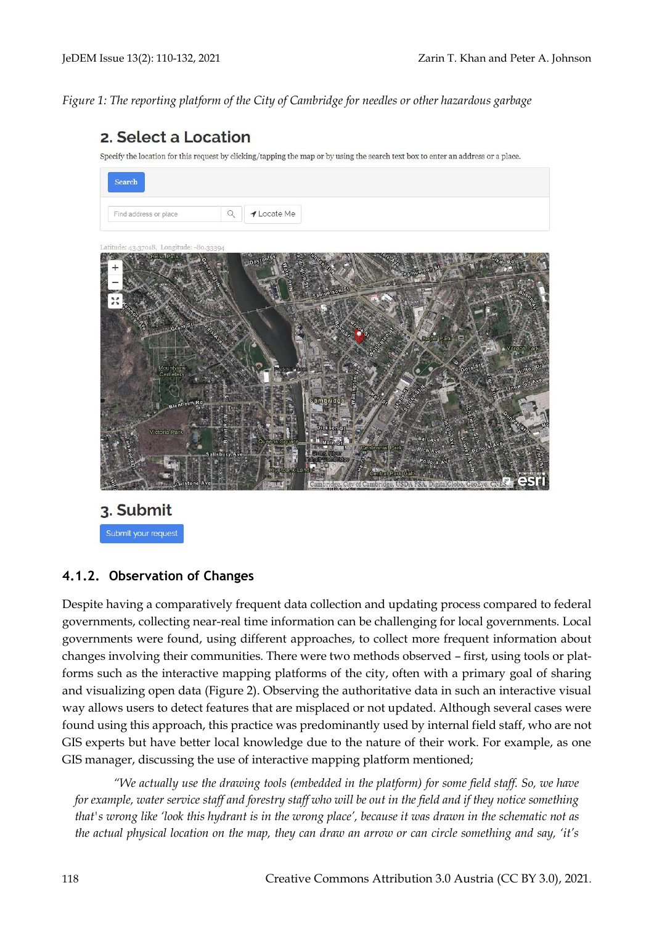*Figure 1: The reporting platform of the City of Cambridge for needles or other hazardous garbage*

# 2. Select a Location

Specify the location for this request by clicking/tapping the map or by using the search text box to enter an address or a place.



3. Submit Submit your request

#### **4.1.2. Observation of Changes**

Despite having a comparatively frequent data collection and updating process compared to federal governments, collecting near-real time information can be challenging for local governments. Local governments were found, using different approaches, to collect more frequent information about changes involving their communities. There were two methods observed – first, using tools or platforms such as the interactive mapping platforms of the city, often with a primary goal of sharing and visualizing open data (Figure 2). Observing the authoritative data in such an interactive visual way allows users to detect features that are misplaced or not updated. Although several cases were found using this approach, this practice was predominantly used by internal field staff, who are not GIS experts but have better local knowledge due to the nature of their work. For example, as one GIS manager, discussing the use of interactive mapping platform mentioned;

*"We actually use the drawing tools (embedded in the platform) for some field staff. So, we have for example, water service staff and forestry staff who will be out in the field and if they notice something that's wrong like 'look this hydrant is in the wrong place', because it was drawn in the schematic not as the actual physical location on the map, they can draw an arrow or can circle something and say, 'it's*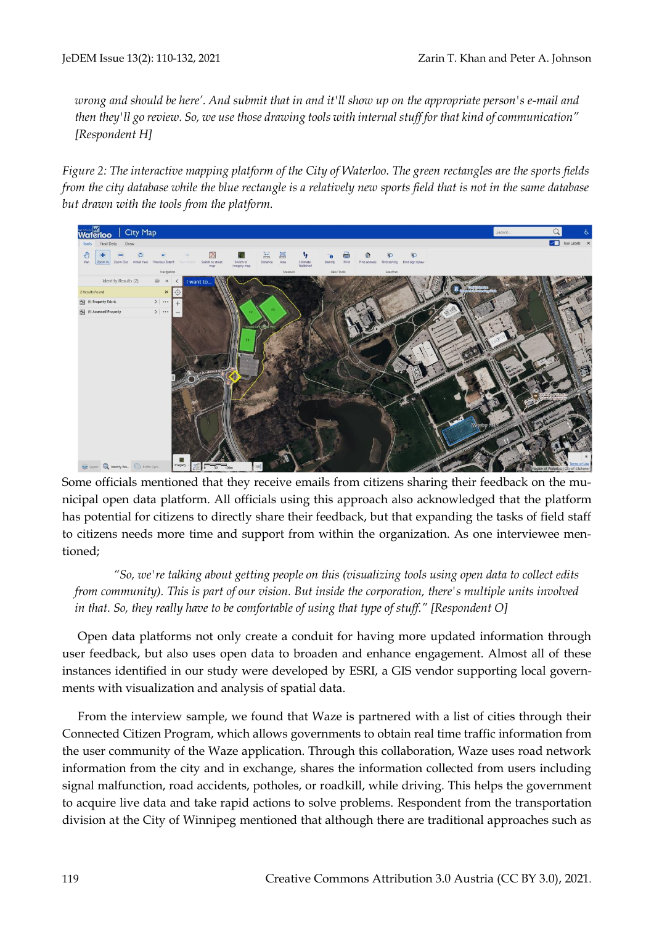*wrong and should be here'. And submit that in and it'll show up on the appropriate person's e-mail and then they'll go review. So, we use those drawing tools with internal stuff for that kind of communication" [Respondent H]* 

*Figure 2: The interactive mapping platform of the City of Waterloo. The green rectangles are the sports fields from the city database while the blue rectangle is a relatively new sports field that is not in the same database but drawn with the tools from the platform.*



Some officials mentioned that they receive emails from citizens sharing their feedback on the municipal open data platform. All officials using this approach also acknowledged that the platform has potential for citizens to directly share their feedback, but that expanding the tasks of field staff to citizens needs more time and support from within the organization. As one interviewee mentioned;

*"So, we're talking about getting people on this (visualizing tools using open data to collect edits from community). This is part of our vision. But inside the corporation, there's multiple units involved in that. So, they really have to be comfortable of using that type of stuff." [Respondent O]*

Open data platforms not only create a conduit for having more updated information through user feedback, but also uses open data to broaden and enhance engagement. Almost all of these instances identified in our study were developed by ESRI, a GIS vendor supporting local governments with visualization and analysis of spatial data.

From the interview sample, we found that Waze is partnered with a list of cities through their Connected Citizen Program, which allows governments to obtain real time traffic information from the user community of the Waze application. Through this collaboration, Waze uses road network information from the city and in exchange, shares the information collected from users including signal malfunction, road accidents, potholes, or roadkill, while driving. This helps the government to acquire live data and take rapid actions to solve problems. Respondent from the transportation division at the City of Winnipeg mentioned that although there are traditional approaches such as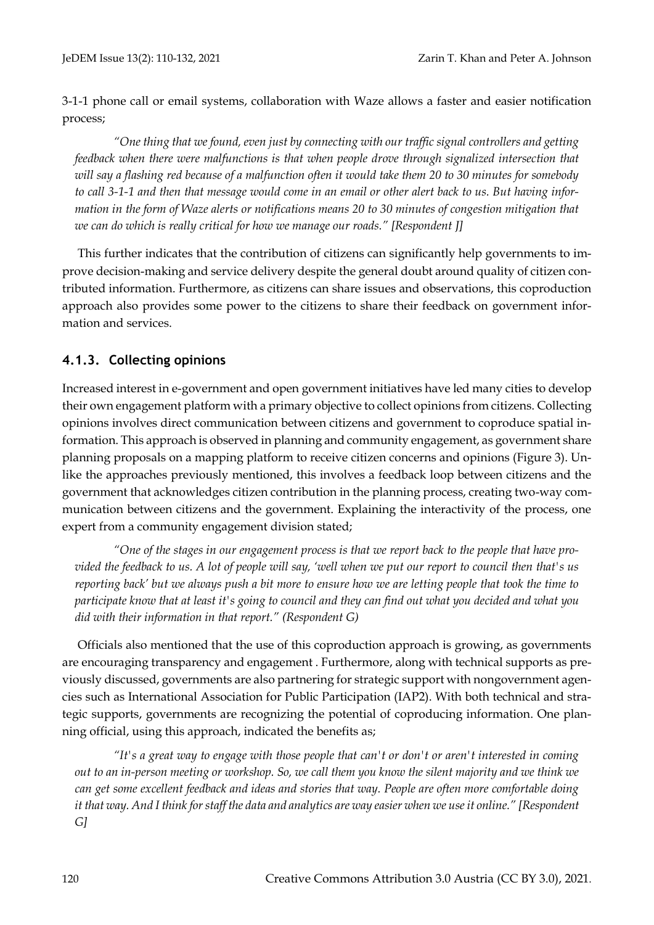3-1-1 phone call or email systems, collaboration with Waze allows a faster and easier notification process;

*"One thing that we found, even just by connecting with our traffic signal controllers and getting feedback when there were malfunctions is that when people drove through signalized intersection that will say a flashing red because of a malfunction often it would take them 20 to 30 minutes for somebody to call 3-1-1 and then that message would come in an email or other alert back to us. But having information in the form of Waze alerts or notifications means 20 to 30 minutes of congestion mitigation that we can do which is really critical for how we manage our roads." [Respondent J]*

This further indicates that the contribution of citizens can significantly help governments to improve decision-making and service delivery despite the general doubt around quality of citizen contributed information. Furthermore, as citizens can share issues and observations, this coproduction approach also provides some power to the citizens to share their feedback on government information and services.

#### **4.1.3. Collecting opinions**

Increased interest in e-government and open government initiatives have led many cities to develop their own engagement platform with a primary objective to collect opinions from citizens. Collecting opinions involves direct communication between citizens and government to coproduce spatial information. This approach is observed in planning and community engagement, as government share planning proposals on a mapping platform to receive citizen concerns and opinions (Figure 3). Unlike the approaches previously mentioned, this involves a feedback loop between citizens and the government that acknowledges citizen contribution in the planning process, creating two-way communication between citizens and the government. Explaining the interactivity of the process, one expert from a community engagement division stated;

*"One of the stages in our engagement process is that we report back to the people that have provided the feedback to us. A lot of people will say, 'well when we put our report to council then that's us reporting back' but we always push a bit more to ensure how we are letting people that took the time to participate know that at least it's going to council and they can find out what you decided and what you did with their information in that report." (Respondent G)*

Officials also mentioned that the use of this coproduction approach is growing, as governments are encouraging transparency and engagement . Furthermore, along with technical supports as previously discussed, governments are also partnering for strategic support with nongovernment agencies such as International Association for Public Participation (IAP2). With both technical and strategic supports, governments are recognizing the potential of coproducing information. One planning official, using this approach, indicated the benefits as;

*"It's a great way to engage with those people that can't or don't or aren't interested in coming out to an in-person meeting or workshop. So, we call them you know the silent majority and we think we can get some excellent feedback and ideas and stories that way. People are often more comfortable doing it that way. And I think for staff the data and analytics are way easier when we use it online." [Respondent G]*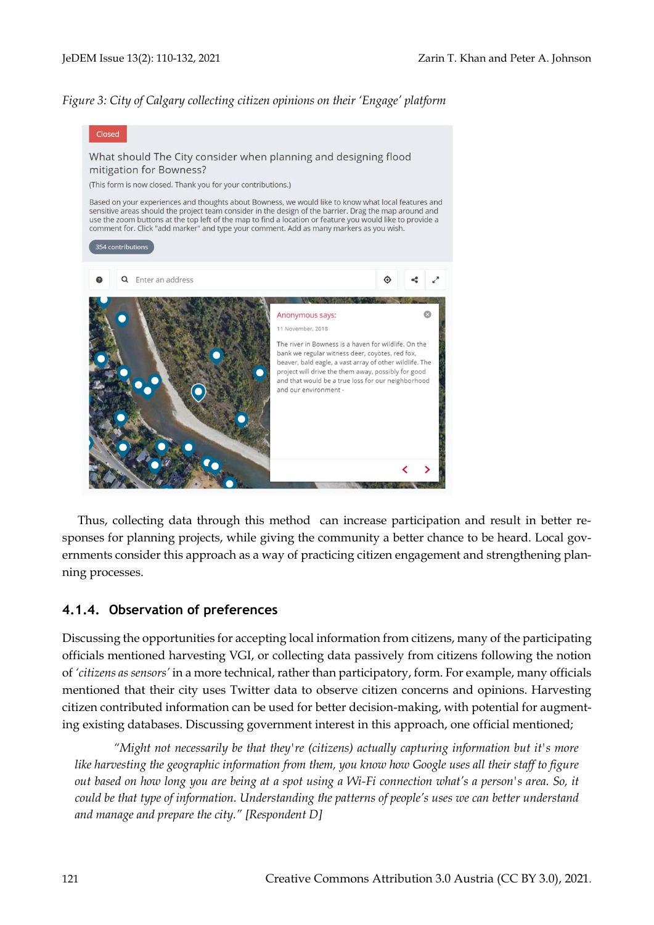#### *Figure 3: City of Calgary collecting citizen opinions on their 'Engage' platform*



Thus, collecting data through this method can increase participation and result in better responses for planning projects, while giving the community a better chance to be heard. Local governments consider this approach as a way of practicing citizen engagement and strengthening planning processes.

#### **4.1.4. Observation of preferences**

Discussing the opportunities for accepting local information from citizens, many of the participating officials mentioned harvesting VGI, or collecting data passively from citizens following the notion of *'citizens as sensors'* in a more technical, rather than participatory, form. For example, many officials mentioned that their city uses Twitter data to observe citizen concerns and opinions. Harvesting citizen contributed information can be used for better decision-making, with potential for augmenting existing databases. Discussing government interest in this approach, one official mentioned;

*"Might not necessarily be that they're (citizens) actually capturing information but it's more like harvesting the geographic information from them, you know how Google uses all their staff to figure out based on how long you are being at a spot using a Wi-Fi connection what's a person's area. So, it could be that type of information. Understanding the patterns of people's uses we can better understand and manage and prepare the city." [Respondent D]*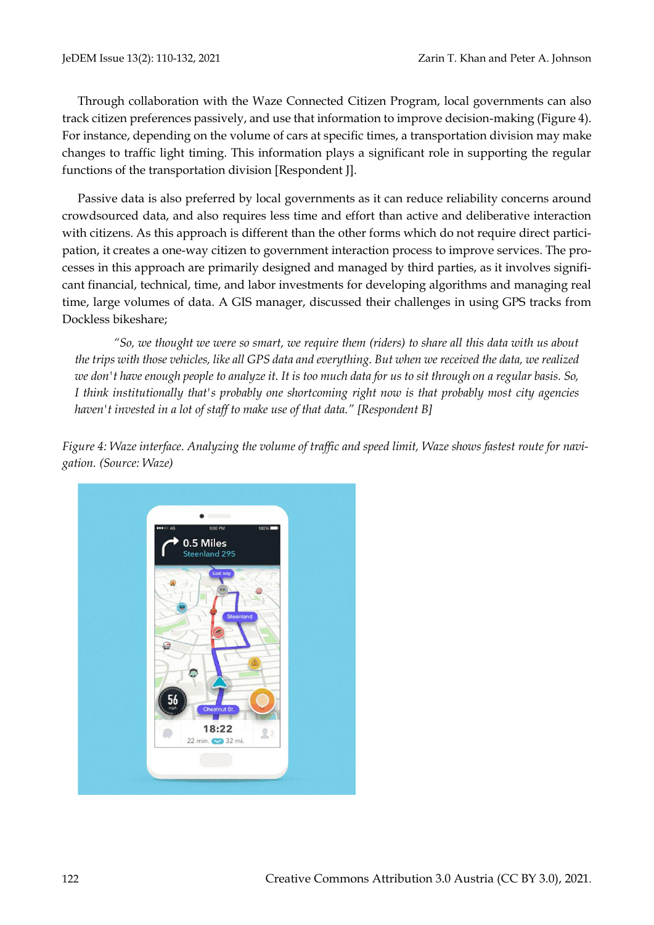Through collaboration with the Waze Connected Citizen Program, local governments can also track citizen preferences passively, and use that information to improve decision-making (Figure 4). For instance, depending on the volume of cars at specific times, a transportation division may make changes to traffic light timing. This information plays a significant role in supporting the regular functions of the transportation division [Respondent J].

Passive data is also preferred by local governments as it can reduce reliability concerns around crowdsourced data, and also requires less time and effort than active and deliberative interaction with citizens. As this approach is different than the other forms which do not require direct participation, it creates a one-way citizen to government interaction process to improve services. The processes in this approach are primarily designed and managed by third parties, as it involves significant financial, technical, time, and labor investments for developing algorithms and managing real time, large volumes of data. A GIS manager, discussed their challenges in using GPS tracks from Dockless bikeshare;

*"So, we thought we were so smart, we require them (riders) to share all this data with us about the trips with those vehicles, like all GPS data and everything. But when we received the data, we realized we don't have enough people to analyze it. It is too much data for us to sit through on a regular basis. So, I think institutionally that's probably one shortcoming right now is that probably most city agencies haven't invested in a lot of staff to make use of that data." [Respondent B]*

*Figure 4: Waze interface. Analyzing the volume of traffic and speed limit, Waze shows fastest route for navigation. (Source: Waze)*

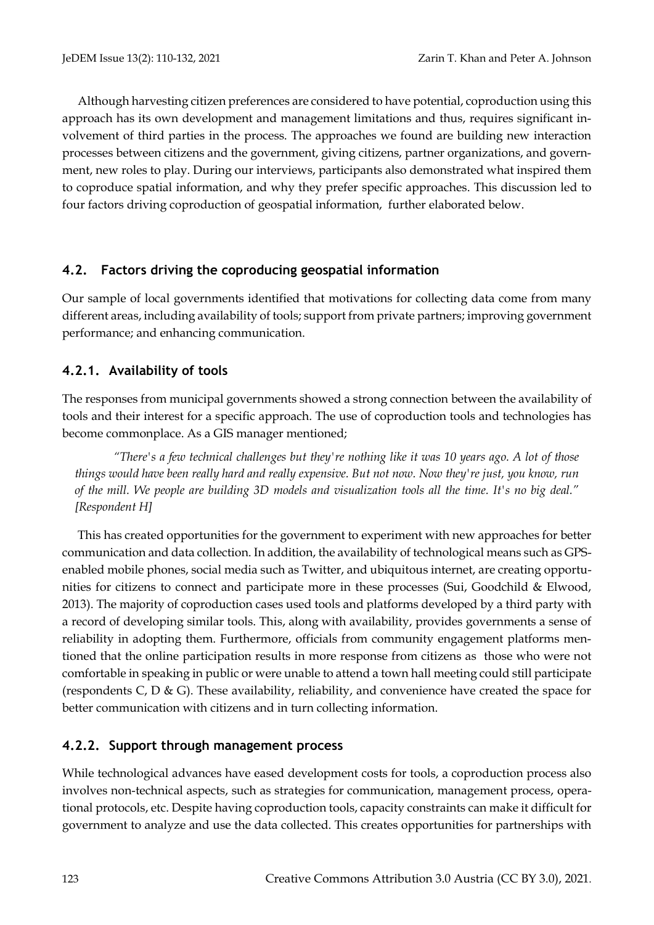Although harvesting citizen preferences are considered to have potential, coproduction using this approach has its own development and management limitations and thus, requires significant involvement of third parties in the process. The approaches we found are building new interaction processes between citizens and the government, giving citizens, partner organizations, and government, new roles to play. During our interviews, participants also demonstrated what inspired them to coproduce spatial information, and why they prefer specific approaches. This discussion led to four factors driving coproduction of geospatial information, further elaborated below.

#### **4.2. Factors driving the coproducing geospatial information**

Our sample of local governments identified that motivations for collecting data come from many different areas, including availability of tools; support from private partners; improving government performance; and enhancing communication.

#### **4.2.1. Availability of tools**

The responses from municipal governments showed a strong connection between the availability of tools and their interest for a specific approach. The use of coproduction tools and technologies has become commonplace. As a GIS manager mentioned;

*"There's a few technical challenges but they're nothing like it was 10 years ago. A lot of those things would have been really hard and really expensive. But not now. Now they're just, you know, run of the mill. We people are building 3D models and visualization tools all the time. It's no big deal." [Respondent H]*

This has created opportunities for the government to experiment with new approaches for better communication and data collection. In addition, the availability of technological means such as GPSenabled mobile phones, social media such as Twitter, and ubiquitous internet, are creating opportunities for citizens to connect and participate more in these processes (Sui, Goodchild & Elwood, 2013). The majority of coproduction cases used tools and platforms developed by a third party with a record of developing similar tools. This, along with availability, provides governments a sense of reliability in adopting them. Furthermore, officials from community engagement platforms mentioned that the online participation results in more response from citizens as those who were not comfortable in speaking in public or were unable to attend a town hall meeting could still participate (respondents C, D & G). These availability, reliability, and convenience have created the space for better communication with citizens and in turn collecting information.

#### **4.2.2. Support through management process**

While technological advances have eased development costs for tools, a coproduction process also involves non-technical aspects, such as strategies for communication, management process, operational protocols, etc. Despite having coproduction tools, capacity constraints can make it difficult for government to analyze and use the data collected. This creates opportunities for partnerships with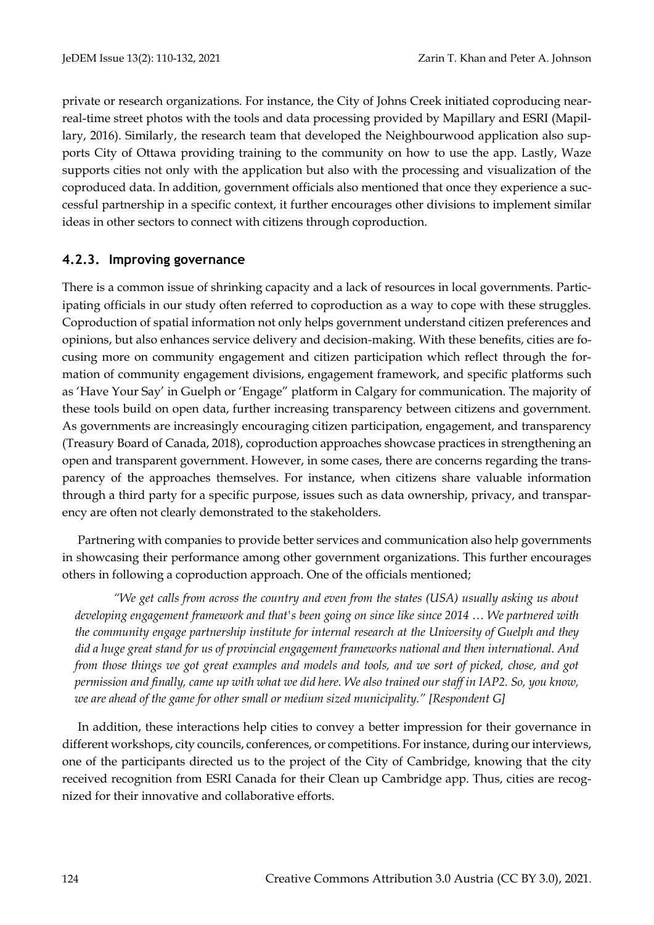private or research organizations. For instance, the City of Johns Creek initiated coproducing nearreal-time street photos with the tools and data processing provided by Mapillary and ESRI (Mapillary, 2016). Similarly, the research team that developed the Neighbourwood application also supports City of Ottawa providing training to the community on how to use the app. Lastly, Waze supports cities not only with the application but also with the processing and visualization of the coproduced data. In addition, government officials also mentioned that once they experience a successful partnership in a specific context, it further encourages other divisions to implement similar ideas in other sectors to connect with citizens through coproduction.

## **4.2.3. Improving governance**

There is a common issue of shrinking capacity and a lack of resources in local governments. Participating officials in our study often referred to coproduction as a way to cope with these struggles. Coproduction of spatial information not only helps government understand citizen preferences and opinions, but also enhances service delivery and decision-making. With these benefits, cities are focusing more on community engagement and citizen participation which reflect through the formation of community engagement divisions, engagement framework, and specific platforms such as 'Have Your Say' in Guelph or 'Engage" platform in Calgary for communication. The majority of these tools build on open data, further increasing transparency between citizens and government. As governments are increasingly encouraging citizen participation, engagement, and transparency (Treasury Board of Canada, 2018), coproduction approaches showcase practices in strengthening an open and transparent government. However, in some cases, there are concerns regarding the transparency of the approaches themselves. For instance, when citizens share valuable information through a third party for a specific purpose, issues such as data ownership, privacy, and transparency are often not clearly demonstrated to the stakeholders.

Partnering with companies to provide better services and communication also help governments in showcasing their performance among other government organizations. This further encourages others in following a coproduction approach. One of the officials mentioned;

*"We get calls from across the country and even from the states (USA) usually asking us about developing engagement framework and that's been going on since like since 2014 … We partnered with the community engage partnership institute for internal research at the University of Guelph and they did a huge great stand for us of provincial engagement frameworks national and then international. And from those things we got great examples and models and tools, and we sort of picked, chose, and got permission and finally, came up with what we did here. We also trained our staff in IAP2. So, you know, we are ahead of the game for other small or medium sized municipality." [Respondent G]*

In addition, these interactions help cities to convey a better impression for their governance in different workshops, city councils, conferences, or competitions. For instance, during our interviews, one of the participants directed us to the project of the City of Cambridge, knowing that the city received recognition from ESRI Canada for their Clean up Cambridge app. Thus, cities are recognized for their innovative and collaborative efforts.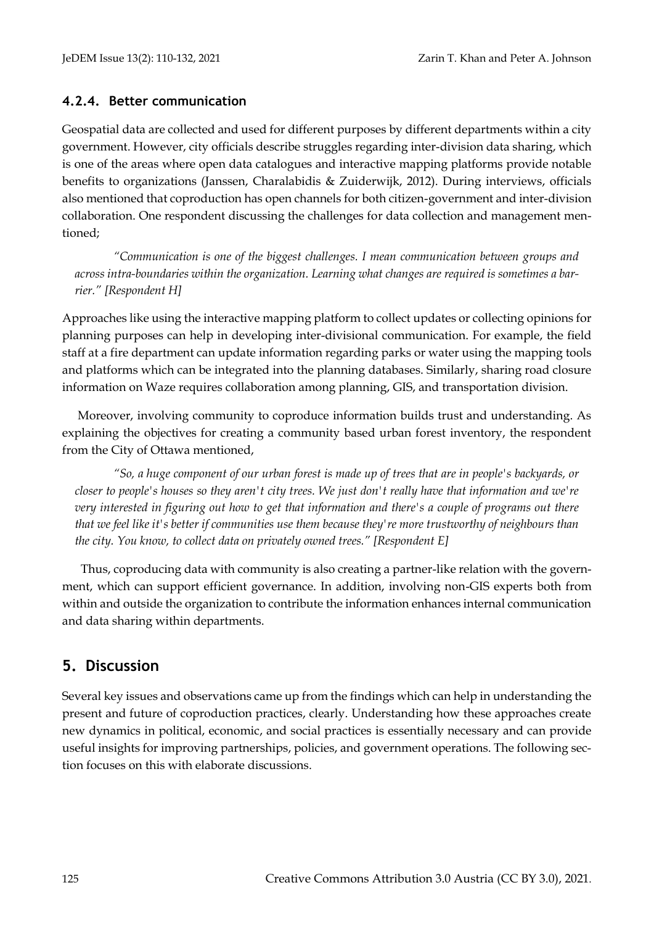#### **4.2.4. Better communication**

Geospatial data are collected and used for different purposes by different departments within a city government. However, city officials describe struggles regarding inter-division data sharing, which is one of the areas where open data catalogues and interactive mapping platforms provide notable benefits to organizations (Janssen, Charalabidis & Zuiderwijk, 2012). During interviews, officials also mentioned that coproduction has open channels for both citizen-government and inter-division collaboration. One respondent discussing the challenges for data collection and management mentioned;

*"Communication is one of the biggest challenges. I mean communication between groups and across intra-boundaries within the organization. Learning what changes are required is sometimes a barrier." [Respondent H]* 

Approaches like using the interactive mapping platform to collect updates or collecting opinions for planning purposes can help in developing inter-divisional communication. For example, the field staff at a fire department can update information regarding parks or water using the mapping tools and platforms which can be integrated into the planning databases. Similarly, sharing road closure information on Waze requires collaboration among planning, GIS, and transportation division.

Moreover, involving community to coproduce information builds trust and understanding. As explaining the objectives for creating a community based urban forest inventory, the respondent from the City of Ottawa mentioned,

*"So, a huge component of our urban forest is made up of trees that are in people's backyards, or closer to people's houses so they aren't city trees. We just don't really have that information and we're very interested in figuring out how to get that information and there's a couple of programs out there that we feel like it's better if communities use them because they're more trustworthy of neighbours than the city. You know, to collect data on privately owned trees." [Respondent E]*

Thus, coproducing data with community is also creating a partner-like relation with the government, which can support efficient governance. In addition, involving non-GIS experts both from within and outside the organization to contribute the information enhances internal communication and data sharing within departments.

# **5. Discussion**

Several key issues and observations came up from the findings which can help in understanding the present and future of coproduction practices, clearly. Understanding how these approaches create new dynamics in political, economic, and social practices is essentially necessary and can provide useful insights for improving partnerships, policies, and government operations. The following section focuses on this with elaborate discussions.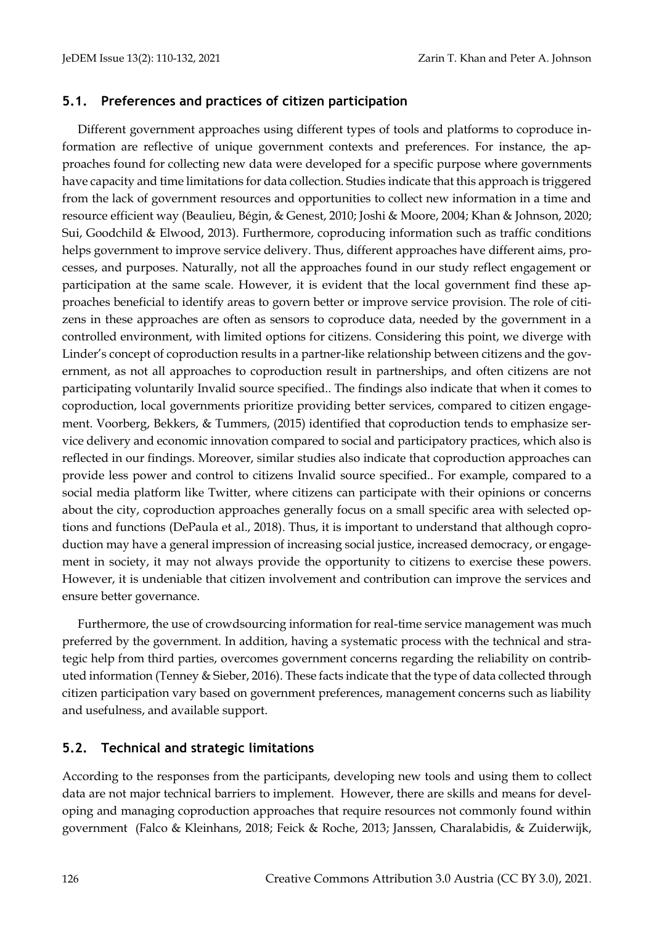#### **5.1. Preferences and practices of citizen participation**

Different government approaches using different types of tools and platforms to coproduce information are reflective of unique government contexts and preferences. For instance, the approaches found for collecting new data were developed for a specific purpose where governments have capacity and time limitations for data collection. Studies indicate that this approach is triggered from the lack of government resources and opportunities to collect new information in a time and resource efficient way (Beaulieu, Bégin, & Genest, 2010; Joshi & Moore, 2004; Khan & Johnson, 2020; Sui, Goodchild & Elwood, 2013). Furthermore, coproducing information such as traffic conditions helps government to improve service delivery. Thus, different approaches have different aims, processes, and purposes. Naturally, not all the approaches found in our study reflect engagement or participation at the same scale. However, it is evident that the local government find these approaches beneficial to identify areas to govern better or improve service provision. The role of citizens in these approaches are often as sensors to coproduce data, needed by the government in a controlled environment, with limited options for citizens. Considering this point, we diverge with Linder's concept of coproduction results in a partner-like relationship between citizens and the government, as not all approaches to coproduction result in partnerships, and often citizens are not participating voluntarily Invalid source specified.. The findings also indicate that when it comes to coproduction, local governments prioritize providing better services, compared to citizen engagement. Voorberg, Bekkers, & Tummers, (2015) identified that coproduction tends to emphasize service delivery and economic innovation compared to social and participatory practices, which also is reflected in our findings. Moreover, similar studies also indicate that coproduction approaches can provide less power and control to citizens Invalid source specified.. For example, compared to a social media platform like Twitter, where citizens can participate with their opinions or concerns about the city, coproduction approaches generally focus on a small specific area with selected options and functions (DePaula et al., 2018). Thus, it is important to understand that although coproduction may have a general impression of increasing social justice, increased democracy, or engagement in society, it may not always provide the opportunity to citizens to exercise these powers. However, it is undeniable that citizen involvement and contribution can improve the services and ensure better governance.

Furthermore, the use of crowdsourcing information for real-time service management was much preferred by the government. In addition, having a systematic process with the technical and strategic help from third parties, overcomes government concerns regarding the reliability on contributed information (Tenney & Sieber, 2016). These facts indicate that the type of data collected through citizen participation vary based on government preferences, management concerns such as liability and usefulness, and available support.

#### **5.2. Technical and strategic limitations**

According to the responses from the participants, developing new tools and using them to collect data are not major technical barriers to implement. However, there are skills and means for developing and managing coproduction approaches that require resources not commonly found within government [\(Falco & Kleinhans, 2018; Feick & Roche, 2013;](file:///C:/Users/MFourer/Dropbox/Career/2.%20Editing/C:/Users/zt2khan/OneDrive%20-%20University%20of%20Waterloo/Jedem%20submission/JeDem%20submission%2014%20Feb.docx%23_blank) Janssen, Charalabidis, & Zuiderwijk,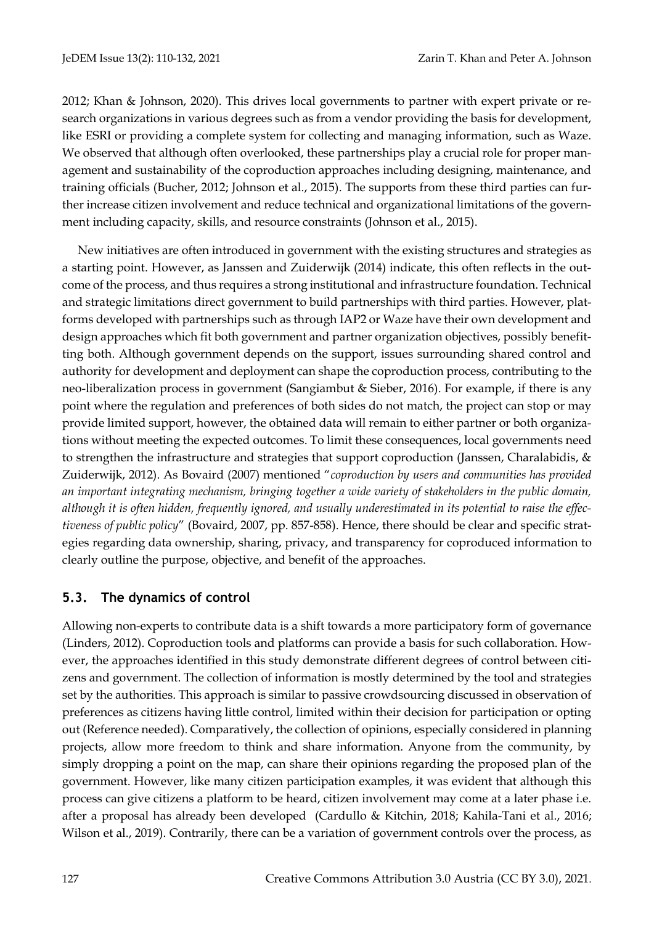2012; Khan & Johnson, 2020). This drives local governments to partner with expert private or research organizations in various degrees such as from a vendor providing the basis for development, like ESRI or providing a complete system for collecting and managing information, such as Waze. We observed that although often overlooked, these partnerships play a crucial role for proper management and sustainability of the coproduction approaches including designing, maintenance, and training officials (Bucher, 2012; Johnson et al., 2015). The supports from these third parties can further increase citizen involvement and reduce technical and organizational limitations of the government including capacity, skills, and resource constraints (Johnson et al., 2015).

New initiatives are often introduced in government with the existing structures and strategies as a starting point. However, as Janssen and Zuiderwijk (2014) indicate, this often reflects in the outcome of the process, and thus requires a strong institutional and infrastructure foundation. Technical and strategic limitations direct government to build partnerships with third parties. However, platforms developed with partnerships such as through IAP2 or Waze have their own development and design approaches which fit both government and partner organization objectives, possibly benefitting both. Although government depends on the support, issues surrounding shared control and authority for development and deployment can shape the coproduction process, contributing to the neo-liberalization process in government (Sangiambut & Sieber, 2016). For example, if there is any point where the regulation and preferences of both sides do not match, the project can stop or may provide limited support, however, the obtained data will remain to either partner or both organizations without meeting the expected outcomes. To limit these consequences, local governments need to strengthen the infrastructure and strategies that support coproduction (Janssen, Charalabidis, & Zuiderwijk, 2012). As Bovaird (2007) mentioned "*coproduction by users and communities has provided an important integrating mechanism, bringing together a wide variety of stakeholders in the public domain, although it is often hidden, frequently ignored, and usually underestimated in its potential to raise the effectiveness of public policy*" (Bovaird, 2007, pp. 857-858). Hence, there should be clear and specific strategies regarding data ownership, sharing, privacy, and transparency for coproduced information to clearly outline the purpose, objective, and benefit of the approaches.

#### **5.3. The dynamics of control**

Allowing non-experts to contribute data is a shift towards a more participatory form of governance (Linders, 2012). Coproduction tools and platforms can provide a basis for such collaboration. However, the approaches identified in this study demonstrate different degrees of control between citizens and government. The collection of information is mostly determined by the tool and strategies set by the authorities. This approach is similar to passive crowdsourcing discussed in observation of preferences as citizens having little control, limited within their decision for participation or opting out (Reference needed). Comparatively, the collection of opinions, especially considered in planning projects, allow more freedom to think and share information. Anyone from the community, by simply dropping a point on the map, can share their opinions regarding the proposed plan of the government. However, like many citizen participation examples, it was evident that although this process can give citizens a platform to be heard, citizen involvement may come at a later phase i.e. after a proposal has already been developed (Cardullo & Kitchin, 2018; [Kahila-Tani et al., 2016;](file:///C:/Users/MFourer/Dropbox/Career/2.%20Editing/C:/Users/zt2khan/OneDrive%20-%20University%20of%20Waterloo/Jedem%20submission/JeDem%20submission%2014%20Feb.docx%23_blank) [Wilson et al., 2019\)](file:///C:/Users/MFourer/Dropbox/Career/2.%20Editing/C:/Users/zt2khan/OneDrive%20-%20University%20of%20Waterloo/Jedem%20submission/JeDem%20submission%2014%20Feb.docx%23_blank). Contrarily, there can be a variation of government controls over the process, as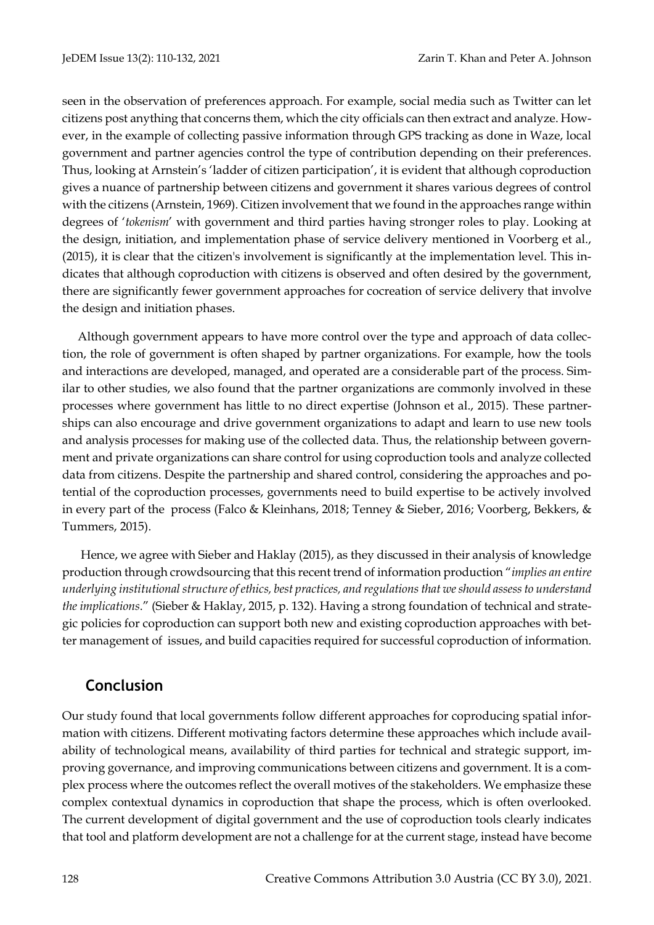seen in the observation of preferences approach. For example, social media such as Twitter can let citizens post anything that concerns them, which the city officials can then extract and analyze. However, in the example of collecting passive information through GPS tracking as done in Waze, local government and partner agencies control the type of contribution depending on their preferences. Thus, looking at Arnstein's 'ladder of citizen participation', it is evident that although coproduction gives a nuance of partnership between citizens and government it shares various degrees of control with the citizens (Arnstein, 1969). Citizen involvement that we found in the approaches range within degrees of '*tokenism*' with government and third parties having stronger roles to play. Looking at the design, initiation, and implementation phase of service delivery mentioned in Voorberg et al., (2015), it is clear that the citizen's involvement is significantly at the implementation level. This indicates that although coproduction with citizens is observed and often desired by the government, there are significantly fewer government approaches for cocreation of service delivery that involve the design and initiation phases.

Although government appears to have more control over the type and approach of data collection, the role of government is often shaped by partner organizations. For example, how the tools and interactions are developed, managed, and operated are a considerable part of the process. Similar to other studies, we also found that the partner organizations are commonly involved in these processes where government has little to no direct expertise (Johnson et al., 2015). These partnerships can also encourage and drive government organizations to adapt and learn to use new tools and analysis processes for making use of the collected data. Thus, the relationship between government and private organizations can share control for using coproduction tools and analyze collected data from citizens. Despite the partnership and shared control, considering the approaches and potential of the coproduction processes, governments need to build expertise to be actively involved in every part of the process (Falco & Kleinhans, 2018; Tenney & Sieber, 2016; Voorberg, Bekkers, & Tummers, 2015).

Hence, we agree with Sieber and Haklay (2015), as they discussed in their analysis of knowledge production through crowdsourcing that this recent trend of information production "*implies an entire underlying institutional structure of ethics, best practices, and regulations that we should assess to understand the implications*." (Sieber & Haklay, 2015, p. 132). Having a strong foundation of technical and strategic policies for coproduction can support both new and existing coproduction approaches with better management of issues, and build capacities required for successful coproduction of information.

# **Conclusion**

Our study found that local governments follow different approaches for coproducing spatial information with citizens. Different motivating factors determine these approaches which include availability of technological means, availability of third parties for technical and strategic support, improving governance, and improving communications between citizens and government. It is a complex process where the outcomes reflect the overall motives of the stakeholders. We emphasize these complex contextual dynamics in coproduction that shape the process, which is often overlooked. The current development of digital government and the use of coproduction tools clearly indicates that tool and platform development are not a challenge for at the current stage, instead have become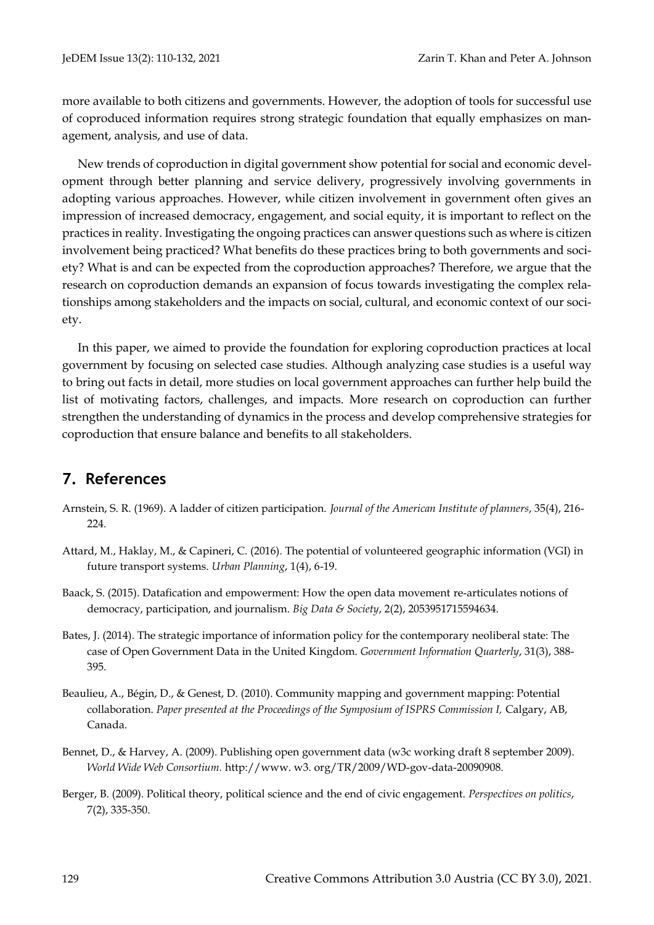more available to both citizens and governments. However, the adoption of tools for successful use of coproduced information requires strong strategic foundation that equally emphasizes on management, analysis, and use of data.

New trends of coproduction in digital government show potential for social and economic development through better planning and service delivery, progressively involving governments in adopting various approaches. However, while citizen involvement in government often gives an impression of increased democracy, engagement, and social equity, it is important to reflect on the practices in reality. Investigating the ongoing practices can answer questions such as where is citizen involvement being practiced? What benefits do these practices bring to both governments and society? What is and can be expected from the coproduction approaches? Therefore, we argue that the research on coproduction demands an expansion of focus towards investigating the complex relationships among stakeholders and the impacts on social, cultural, and economic context of our society.

In this paper, we aimed to provide the foundation for exploring coproduction practices at local government by focusing on selected case studies. Although analyzing case studies is a useful way to bring out facts in detail, more studies on local government approaches can further help build the list of motivating factors, challenges, and impacts. More research on coproduction can further strengthen the understanding of dynamics in the process and develop comprehensive strategies for coproduction that ensure balance and benefits to all stakeholders.

# **7. References**

- Arnstein, S. R. (1969). A ladder of citizen participation. *Journal of the American Institute of planners*, 35(4), 216- 224.
- Attard, M., Haklay, M., & Capineri, C. (2016). The potential of volunteered geographic information (VGI) in future transport systems. *Urban Planning*, 1(4), 6-19.
- Baack, S. (2015). Datafication and empowerment: How the open data movement re-articulates notions of democracy, participation, and journalism. *Big Data & Society*, 2(2), 2053951715594634.
- Bates, J. (2014). The strategic importance of information policy for the contemporary neoliberal state: The case of Open Government Data in the United Kingdom. *Government Information Quarterly*, 31(3), 388- 395.
- Beaulieu, A., Bégin, D., & Genest, D. (2010). Community mapping and government mapping: Potential collaboration. *Paper presented at the Proceedings of the Symposium of ISPRS Commission I,* Calgary, AB, Canada.
- Bennet, D., & Harvey, A. (2009). Publishing open government data (w3c working draft 8 september 2009). *World Wide Web Consortium.* http://www. w3. org/TR/2009/WD-gov-data-20090908.
- Berger, B. (2009). Political theory, political science and the end of civic engagement. *Perspectives on politics*, 7(2), 335-350.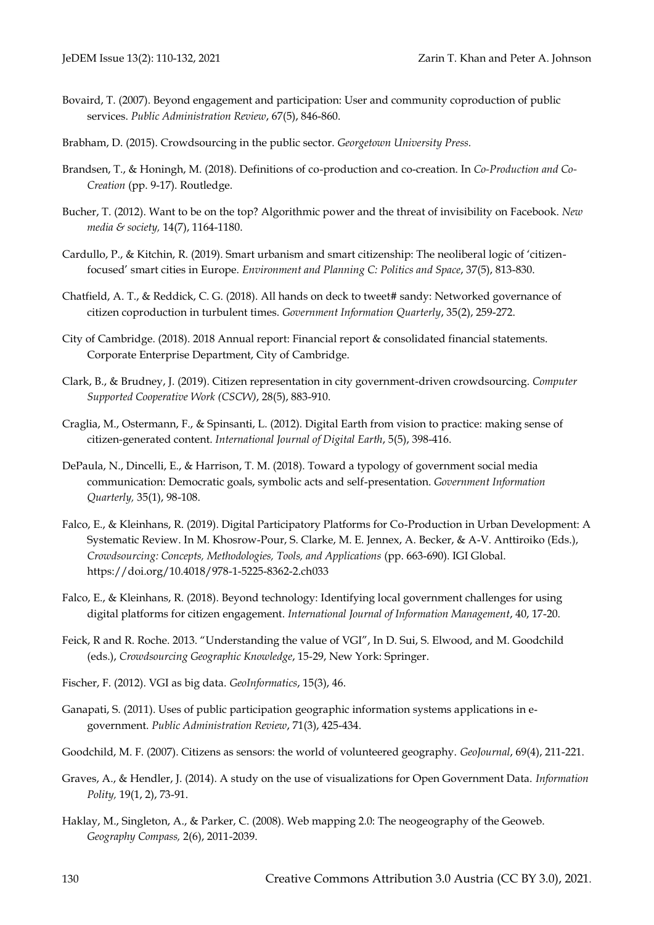- Bovaird, T. (2007). Beyond engagement and participation: User and community coproduction of public services. *Public Administration Review*, 67(5), 846-860.
- Brabham, D. (2015). Crowdsourcing in the public sector. *Georgetown University Press.*
- Brandsen, T., & Honingh, M. (2018). Definitions of co-production and co-creation. In *Co-Production and Co-Creation* (pp. 9-17). Routledge.
- Bucher, T. (2012). Want to be on the top? Algorithmic power and the threat of invisibility on Facebook. *New media & society,* 14(7), 1164-1180.
- Cardullo, P., & Kitchin, R. (2019). Smart urbanism and smart citizenship: The neoliberal logic of 'citizenfocused' smart cities in Europe. *Environment and Planning C: Politics and Space*, 37(5), 813-830.
- Chatfield, A. T., & Reddick, C. G. (2018). All hands on deck to tweet# sandy: Networked governance of citizen coproduction in turbulent times. *Government Information Quarterly*, 35(2), 259-272.
- City of Cambridge. (2018). 2018 Annual report: Financial report & consolidated financial statements. Corporate Enterprise Department, City of Cambridge.
- Clark, B., & Brudney, J. (2019). Citizen representation in city government-driven crowdsourcing. *Computer Supported Cooperative Work (CSCW)*, 28(5), 883-910.
- Craglia, M., Ostermann, F., & Spinsanti, L. (2012). Digital Earth from vision to practice: making sense of citizen-generated content. *International Journal of Digital Earth*, 5(5), 398-416.
- DePaula, N., Dincelli, E., & Harrison, T. M. (2018). Toward a typology of government social media communication: Democratic goals, symbolic acts and self-presentation. *Government Information Quarterly,* 35(1), 98-108.
- Falco, E., & Kleinhans, R. (2019). Digital Participatory Platforms for Co-Production in Urban Development: A Systematic Review. In M. Khosrow-Pour, S. Clarke, M. E. Jennex, A. Becker, & A-V. Anttiroiko (Eds.), *Crowdsourcing: Concepts, Methodologies, Tools, and Applications* (pp. 663-690). IGI Global. https://doi.org/10.4018/978-1-5225-8362-2.ch033
- Falco, E., & Kleinhans, R. (2018). Beyond technology: Identifying local government challenges for using digital platforms for citizen engagement. *International Journal of Information Management*, 40, 17-20.
- Feick, R and R. Roche. 2013. "Understanding the value of VGI", In D. Sui, S. Elwood, and M. Goodchild (eds.), *Crowdsourcing Geographic Knowledge*, 15-29, New York: Springer.
- Fischer, F. (2012). VGI as big data. *GeoInformatics*, 15(3), 46.
- Ganapati, S. (2011). Uses of public participation geographic information systems applications in e‐ government. *Public Administration Review*, 71(3), 425-434.
- Goodchild, M. F. (2007). Citizens as sensors: the world of volunteered geography. *GeoJournal*, 69(4), 211-221.
- Graves, A., & Hendler, J. (2014). A study on the use of visualizations for Open Government Data. *Information Polity,* 19(1, 2), 73-91.
- Haklay, M., Singleton, A., & Parker, C. (2008). Web mapping 2.0: The neogeography of the Geoweb. *Geography Compass,* 2(6), 2011-2039.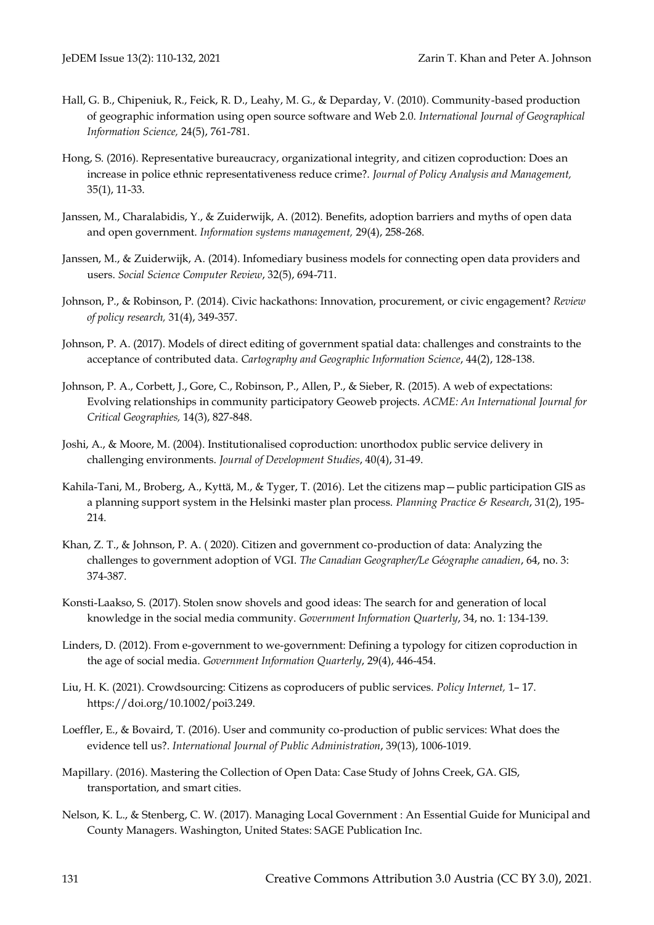- Hall, G. B., Chipeniuk, R., Feick, R. D., Leahy, M. G., & Deparday, V. (2010). Community-based production of geographic information using open source software and Web 2.0. *International Journal of Geographical Information Science,* 24(5), 761-781.
- Hong, S. (2016). Representative bureaucracy, organizational integrity, and citizen coproduction: Does an increase in police ethnic representativeness reduce crime?. *Journal of Policy Analysis and Management,* 35(1), 11-33.
- Janssen, M., Charalabidis, Y., & Zuiderwijk, A. (2012). Benefits, adoption barriers and myths of open data and open government. *Information systems management,* 29(4), 258-268.
- Janssen, M., & Zuiderwijk, A. (2014). Infomediary business models for connecting open data providers and users. *Social Science Computer Review*, 32(5), 694-711.
- Johnson, P., & Robinson, P. (2014). Civic hackathons: Innovation, procurement, or civic engagement? *Review of policy research,* 31(4), 349-357.
- Johnson, P. A. (2017). Models of direct editing of government spatial data: challenges and constraints to the acceptance of contributed data. *Cartography and Geographic Information Science*, 44(2), 128-138.
- Johnson, P. A., Corbett, J., Gore, C., Robinson, P., Allen, P., & Sieber, R. (2015). A web of expectations: Evolving relationships in community participatory Geoweb projects. *ACME: An International Journal for Critical Geographies,* 14(3), 827-848.
- Joshi, A., & Moore, M. (2004). Institutionalised coproduction: unorthodox public service delivery in challenging environments. *Journal of Development Studies*, 40(4), 31-49.
- Kahila-Tani, M., Broberg, A., Kyttä, M., & Tyger, T. (2016). Let the citizens map—public participation GIS as a planning support system in the Helsinki master plan process. *Planning Practice & Research*, 31(2), 195- 214.
- Khan, Z. T., & Johnson, P. A. (2020). Citizen and government co-production of data: Analyzing the challenges to government adoption of VGI. *The Canadian Geographer/Le Géographe canadien*, 64, no. 3: 374-387.
- Konsti-Laakso, S. (2017). Stolen snow shovels and good ideas: The search for and generation of local knowledge in the social media community. *Government Information Quarterly*, 34, no. 1: 134-139.
- Linders, D. (2012). From e-government to we-government: Defining a typology for citizen coproduction in the age of social media. *Government Information Quarterly*, 29(4), 446-454.
- Liu, H. K. (2021). Crowdsourcing: Citizens as coproducers of public services. *Policy Internet,* 1– 17. https://doi.org/10.1002/poi3.249.
- Loeffler, E., & Bovaird, T. (2016). User and community co-production of public services: What does the evidence tell us?. *International Journal of Public Administration*, 39(13), 1006-1019.
- Mapillary. (2016). Mastering the Collection of Open Data: Case Study of Johns Creek, GA. GIS, transportation, and smart cities.
- Nelson, K. L., & Stenberg, C. W. (2017). Managing Local Government : An Essential Guide for Municipal and County Managers. Washington, United States: SAGE Publication Inc.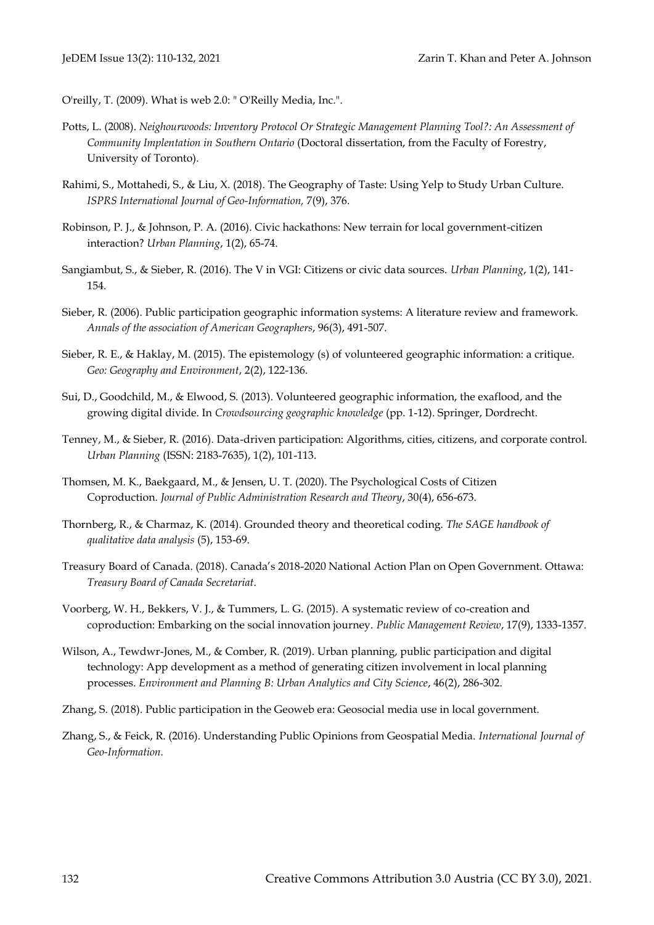- O'reilly, T. (2009). What is web 2.0: " O'Reilly Media, Inc.".
- Potts, L. (2008). *Neighourwoods: Inventory Protocol Or Strategic Management Planning Tool?: An Assessment of Community Implentation in Southern Ontario* (Doctoral dissertation, from the Faculty of Forestry, University of Toronto).
- Rahimi, S., Mottahedi, S., & Liu, X. (2018). The Geography of Taste: Using Yelp to Study Urban Culture. *ISPRS International Journal of Geo-Information,* 7(9), 376.
- Robinson, P. J., & Johnson, P. A. (2016). Civic hackathons: New terrain for local government-citizen interaction? *Urban Planning*, 1(2), 65-74.
- Sangiambut, S., & Sieber, R. (2016). The V in VGI: Citizens or civic data sources. *Urban Planning*, 1(2), 141- 154.
- Sieber, R. (2006). Public participation geographic information systems: A literature review and framework. *Annals of the association of American Geographers*, 96(3), 491-507.
- Sieber, R. E., & Haklay, M. (2015). The epistemology (s) of volunteered geographic information: a critique. *Geo: Geography and Environment*, 2(2), 122-136.
- Sui, D., Goodchild, M., & Elwood, S. (2013). Volunteered geographic information, the exaflood, and the growing digital divide. In *Crowdsourcing geographic knowledge* (pp. 1-12). Springer, Dordrecht.
- Tenney, M., & Sieber, R. (2016). Data-driven participation: Algorithms, cities, citizens, and corporate control. *Urban Planning* (ISSN: 2183-7635), 1(2), 101-113.
- Thomsen, M. K., Baekgaard, M., & Jensen, U. T. (2020). The Psychological Costs of Citizen Coproduction. *Journal of Public Administration Research and Theory*, 30(4), 656-673.
- Thornberg, R., & Charmaz, K. (2014). Grounded theory and theoretical coding. *The SAGE handbook of qualitative data analysis* (5), 153-69.
- Treasury Board of Canada. (2018). Canada's 2018-2020 National Action Plan on Open Government. Ottawa: *Treasury Board of Canada Secretariat*.
- Voorberg, W. H., Bekkers, V. J., & Tummers, L. G. (2015). A systematic review of co-creation and coproduction: Embarking on the social innovation journey. *Public Management Review*, 17(9), 1333-1357.
- Wilson, A., Tewdwr-Jones, M., & Comber, R. (2019). Urban planning, public participation and digital technology: App development as a method of generating citizen involvement in local planning processes. *Environment and Planning B: Urban Analytics and City Science*, 46(2), 286-302.
- Zhang, S. (2018). Public participation in the Geoweb era: Geosocial media use in local government.
- Zhang, S., & Feick, R. (2016). Understanding Public Opinions from Geospatial Media. *International Journal of Geo-Information.*